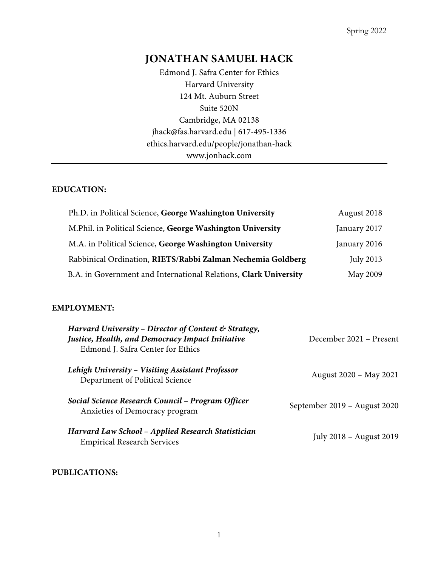# **JONATHAN SAMUEL HACK**

Edmond J. Safra Center for Ethics Harvard University 124 Mt. Auburn Street Suite 520N Cambridge, MA 02138 jhack@fas.harvard.edu | 617-495-1336 ethics.harvard.edu/people/jonathan-hack www.jonhack.com

### **EDUCATION:**

| Ph.D. in Political Science, George Washington University         | August 2018  |
|------------------------------------------------------------------|--------------|
| M.Phil. in Political Science, George Washington University       | January 2017 |
| M.A. in Political Science, George Washington University          | January 2016 |
| Rabbinical Ordination, RIETS/Rabbi Zalman Nechemia Goldberg      | July 2013    |
| B.A. in Government and International Relations, Clark University | May 2009     |

#### **EMPLOYMENT:**

| Harvard University - Director of Content & Strategy,<br>Justice, Health, and Democracy Impact Initiative<br>Edmond J. Safra Center for Ethics | December 2021 – Present      |
|-----------------------------------------------------------------------------------------------------------------------------------------------|------------------------------|
| Lehigh University - Visiting Assistant Professor<br>Department of Political Science                                                           | August 2020 – May 2021       |
| Social Science Research Council - Program Officer<br>Anxieties of Democracy program                                                           | September 2019 – August 2020 |
| Harvard Law School – Applied Research Statistician<br><b>Empirical Research Services</b>                                                      | July 2018 – August 2019      |

#### **PUBLICATIONS:**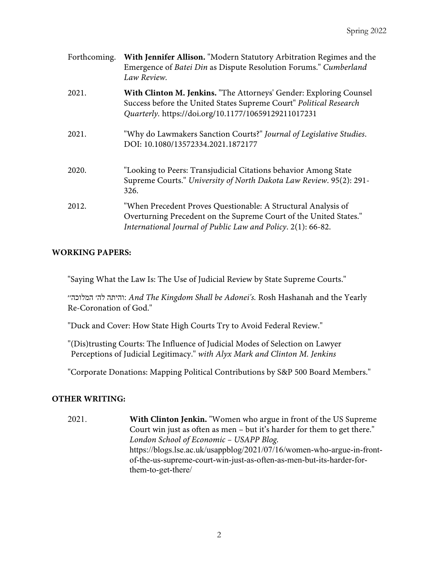| Forthcoming. | With Jennifer Allison. "Modern Statutory Arbitration Regimes and the<br>Emergence of Batei Din as Dispute Resolution Forums." Cumberland<br>Law Review.                                            |
|--------------|----------------------------------------------------------------------------------------------------------------------------------------------------------------------------------------------------|
| 2021.        | With Clinton M. Jenkins. "The Attorneys' Gender: Exploring Counsel<br>Success before the United States Supreme Court" Political Research<br>Quarterly. https://doi.org/10.1177/10659129211017231   |
| 2021.        | "Why do Lawmakers Sanction Courts?" Journal of Legislative Studies.<br>DOI: 10.1080/13572334.2021.1872177                                                                                          |
| 2020.        | "Looking to Peers: Transjudicial Citations behavior Among State<br>Supreme Courts." University of North Dakota Law Review. 95(2): 291-<br>326.                                                     |
| 2012.        | "When Precedent Proves Questionable: A Structural Analysis of<br>Overturning Precedent on the Supreme Court of the United States."<br>International Journal of Public Law and Policy. 2(1): 66-82. |

#### **WORKING PAPERS:**

"Saying What the Law Is: The Use of Judicial Review by State Supreme Courts."

:התיהו ׳הל ׳׳הכולמה *And The Kingdom Shall be Adonei's.* Rosh Hashanah and the Yearly Re-Coronation of God."

"Duck and Cover: How State High Courts Try to Avoid Federal Review."

"(Dis)trusting Courts: The Influence of Judicial Modes of Selection on Lawyer Perceptions of Judicial Legitimacy." *with Alyx Mark and Clinton M. Jenkins*

"Corporate Donations: Mapping Political Contributions by S&P 500 Board Members."

### **OTHER WRITING:**

2021. **With Clinton Jenkin.** "Women who argue in front of the US Supreme Court win just as often as men – but it's harder for them to get there." *London School of Economic – USAPP Blog.*  https://blogs.lse.ac.uk/usappblog/2021/07/16/women-who-argue-in-frontof-the-us-supreme-court-win-just-as-often-as-men-but-its-harder-forthem-to-get-there/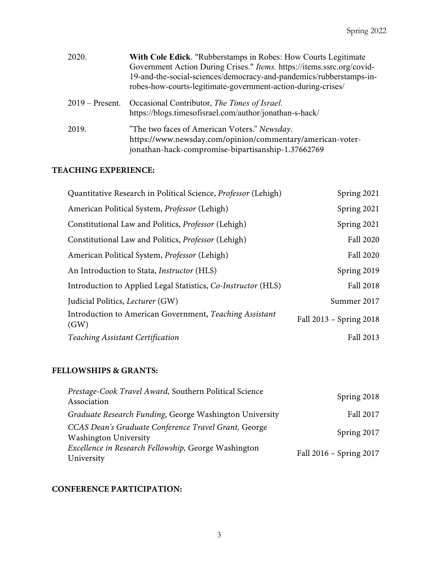| 2020.             | With Cole Edick. "Rubberstamps in Robes: How Courts Legitimate<br>Government Action During Crises." Items. https://items.ssrc.org/covid-<br>19-and-the-social-sciences/democracy-and-pandemics/rubberstamps-in-<br>robes-how-courts-legitimate-government-action-during-crises/ |
|-------------------|---------------------------------------------------------------------------------------------------------------------------------------------------------------------------------------------------------------------------------------------------------------------------------|
| $2019$ – Present. | Occasional Contributor, The Times of Israel.<br>https://blogs.timesofisrael.com/author/jonathan-s-hack/                                                                                                                                                                         |
| 2019.             | "The two faces of American Voters." Newsday.<br>https://www.newsday.com/opinion/commentary/american-voter-<br>jonathan-hack-compromise-bipartisanship-1.37662769                                                                                                                |

### **TEACHING EXPERIENCE:**

| Quantitative Research in Political Science, Professor (Lehigh)  | Spring 2021             |
|-----------------------------------------------------------------|-------------------------|
| American Political System, Professor (Lehigh)                   | Spring 2021             |
| Constitutional Law and Politics, <i>Professor</i> (Lehigh)      | Spring 2021             |
| Constitutional Law and Politics, Professor (Lehigh)             | Fall 2020               |
| American Political System, <i>Professor</i> (Lehigh)            | Fall 2020               |
| An Introduction to Stata, <i>Instructor</i> (HLS)               | Spring 2019             |
| Introduction to Applied Legal Statistics, Co-Instructor (HLS)   | Fall 2018               |
| Judicial Politics, <i>Lecturer</i> (GW)                         | Summer 2017             |
| Introduction to American Government, Teaching Assistant<br>(GW) | Fall 2013 - Spring 2018 |
| Teaching Assistant Certification                                | Fall 2013               |
|                                                                 |                         |

### **FELLOWSHIPS & GRANTS:**

| Prestage-Cook Travel Award, Southern Political Science                               | Spring 2018             |
|--------------------------------------------------------------------------------------|-------------------------|
| Association                                                                          |                         |
| Graduate Research Funding, George Washington University                              | Fall 2017               |
| CCAS Dean's Graduate Conference Travel Grant, George<br><b>Washington University</b> | Spring 2017             |
| Excellence in Research Fellowship, George Washington<br>University                   | Fall 2016 - Spring 2017 |

## **CONFERENCE PARTICIPATION:**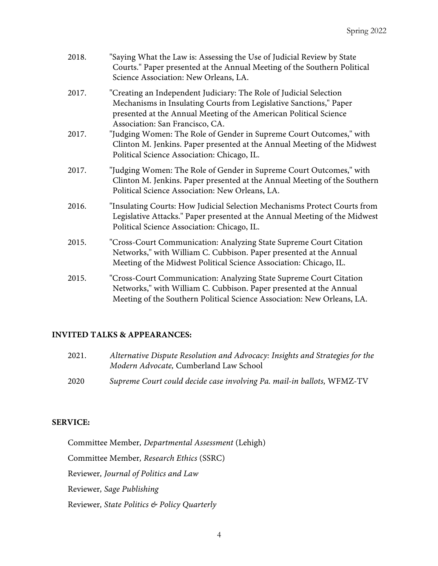| 2018. | "Saying What the Law is: Assessing the Use of Judicial Review by State<br>Courts." Paper presented at the Annual Meeting of the Southern Political<br>Science Association: New Orleans, LA.                                                      |
|-------|--------------------------------------------------------------------------------------------------------------------------------------------------------------------------------------------------------------------------------------------------|
| 2017. | "Creating an Independent Judiciary: The Role of Judicial Selection<br>Mechanisms in Insulating Courts from Legislative Sanctions," Paper<br>presented at the Annual Meeting of the American Political Science<br>Association: San Francisco, CA. |
| 2017. | "Judging Women: The Role of Gender in Supreme Court Outcomes," with<br>Clinton M. Jenkins. Paper presented at the Annual Meeting of the Midwest<br>Political Science Association: Chicago, IL.                                                   |
| 2017. | "Judging Women: The Role of Gender in Supreme Court Outcomes," with<br>Clinton M. Jenkins. Paper presented at the Annual Meeting of the Southern<br>Political Science Association: New Orleans, LA.                                              |
| 2016. | "Insulating Courts: How Judicial Selection Mechanisms Protect Courts from<br>Legislative Attacks." Paper presented at the Annual Meeting of the Midwest<br>Political Science Association: Chicago, IL.                                           |
| 2015. | "Cross-Court Communication: Analyzing State Supreme Court Citation<br>Networks," with William C. Cubbison. Paper presented at the Annual<br>Meeting of the Midwest Political Science Association: Chicago, IL.                                   |
| 2015. | "Cross-Court Communication: Analyzing State Supreme Court Citation<br>Networks," with William C. Cubbison. Paper presented at the Annual<br>Meeting of the Southern Political Science Association: New Orleans, LA.                              |

### **INVITED TALKS & APPEARANCES:**

| 2021. |  | Alternative Dispute Resolution and Advocacy: Insights and Strategies for the |  |  |  |
|-------|--|------------------------------------------------------------------------------|--|--|--|
|       |  | <i>Modern Advocate, Cumberland Law School</i>                                |  |  |  |
|       |  |                                                                              |  |  |  |

2020 *Supreme Court could decide case involving Pa. mail-in ballots,* WFMZ-TV

### **SERVICE:**

Committee Member*, Departmental Assessment* (Lehigh)

Committee Member*, Research Ethics* (SSRC)

Reviewer*, Journal of Politics and Law*

Reviewer*, Sage Publishing*

Reviewer*, State Politics & Policy Quarterly*